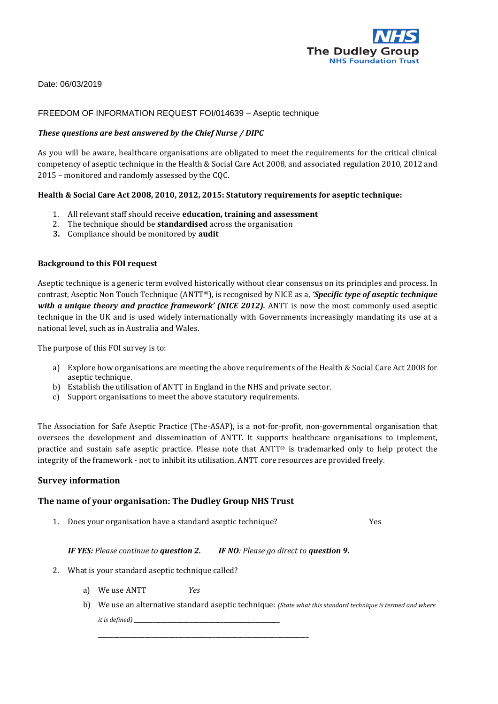

Date: 06/03/2019

## FREEDOM OF INFORMATION REQUEST FOI/014639 – Aseptic technique

#### *These questions are best answered by the Chief Nurse / DIPC*

As you will be aware, healthcare organisations are obligated to meet the requirements for the critical clinical competency of aseptic technique in the Health & Social Care Act 2008, and associated regulation 2010, 2012 and 2015 – monitored and randomly assessed by the CQC.

## **Health & Social Care Act 2008, 2010, 2012, 2015: Statutory requirements for aseptic technique:**

- 1. All relevant staff should receive **education, training and assessment**
- 2. The technique should be **standardised** across the organisation
- **3.** Compliance should be monitored by **audit**

#### **Background to this FOI request**

Aseptic technique is a generic term evolved historically without clear consensus on its principles and process. In contrast, Aseptic Non Touch Technique (ANTT®), is recognised by NICE as a, *'Specific type of aseptic technique*  with a unique theory and practice framework' (NICE 2012). ANTT is now the most commonly used aseptic technique in the UK and is used widely internationally with Governments increasingly mandating its use at a national level, such as in Australia and Wales.

The purpose of this FOI survey is to:

- a) Explore how organisations are meeting the above requirements of the Health & Social Care Act 2008 for aseptic technique.
- b) Establish the utilisation of ANTT in England in the NHS and private sector.
- c) Support organisations to meet the above statutory requirements.

The Association for Safe Aseptic Practice (The-ASAP), is a not-for-profit, non-governmental organisation that oversees the development and dissemination of ANTT. It supports healthcare organisations to implement, practice and sustain safe aseptic practice. Please note that ANTT® is trademarked only to help protect the integrity of the framework - not to inhibit its utilisation. ANTT core resources are provided freely.

#### **Survey information**

## **The name of your organisation: The Dudley Group NHS Trust**

1. Does your organisation have a standard aseptic technique? Yes

*IF YES: Please continue to question 2. IF NO: Please go direct to question 9.*

\_\_\_\_\_\_\_\_\_\_\_\_\_\_\_\_\_\_\_\_\_\_\_\_\_\_\_\_\_\_\_\_\_\_\_\_\_\_\_\_\_\_\_\_\_\_\_\_\_\_\_\_\_\_\_\_\_\_\_\_\_\_\_\_\_\_\_\_

- 2. What is your standard aseptic technique called?
	- a) We use ANTT *Yes*
	- b) We use an alternative standard aseptic technique: *(State what this standard technique is termed and where it is defined*)